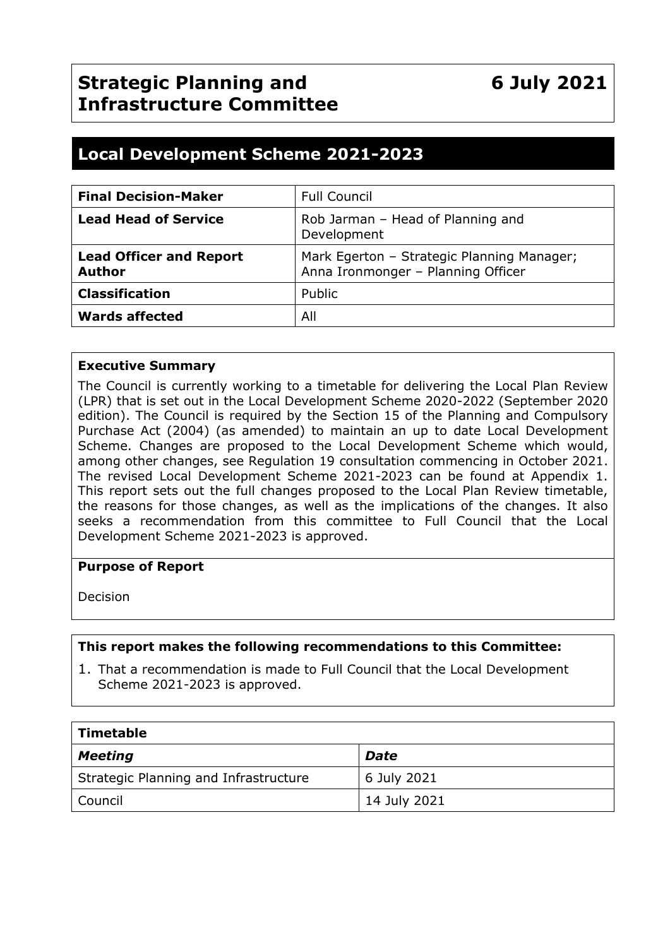# **Strategic Planning and Infrastructure Committee**

# **Local Development Scheme 2021-2023**

| <b>Final Decision-Maker</b>                     | <b>Full Council</b>                                                              |
|-------------------------------------------------|----------------------------------------------------------------------------------|
| <b>Lead Head of Service</b>                     | Rob Jarman - Head of Planning and<br>Development                                 |
| <b>Lead Officer and Report</b><br><b>Author</b> | Mark Egerton - Strategic Planning Manager;<br>Anna Ironmonger - Planning Officer |
| <b>Classification</b>                           | Public                                                                           |
| <b>Wards affected</b>                           | All                                                                              |

#### **Executive Summary**

The Council is currently working to a timetable for delivering the Local Plan Review (LPR) that is set out in the Local Development Scheme 2020-2022 (September 2020 edition). The Council is required by the Section 15 of the Planning and Compulsory Purchase Act (2004) (as amended) to maintain an up to date Local Development Scheme. Changes are proposed to the Local Development Scheme which would, among other changes, see Regulation 19 consultation commencing in October 2021. The revised Local Development Scheme 2021-2023 can be found at Appendix 1. This report sets out the full changes proposed to the Local Plan Review timetable, the reasons for those changes, as well as the implications of the changes. It also seeks a recommendation from this committee to Full Council that the Local Development Scheme 2021-2023 is approved.

#### **Purpose of Report**

Decision

#### **This report makes the following recommendations to this Committee:**

1. That a recommendation is made to Full Council that the Local Development Scheme 2021-2023 is approved.

| Timetable                             |              |  |  |  |
|---------------------------------------|--------------|--|--|--|
| Meeting                               | <b>Date</b>  |  |  |  |
| Strategic Planning and Infrastructure | 6 July 2021  |  |  |  |
| Council                               | 14 July 2021 |  |  |  |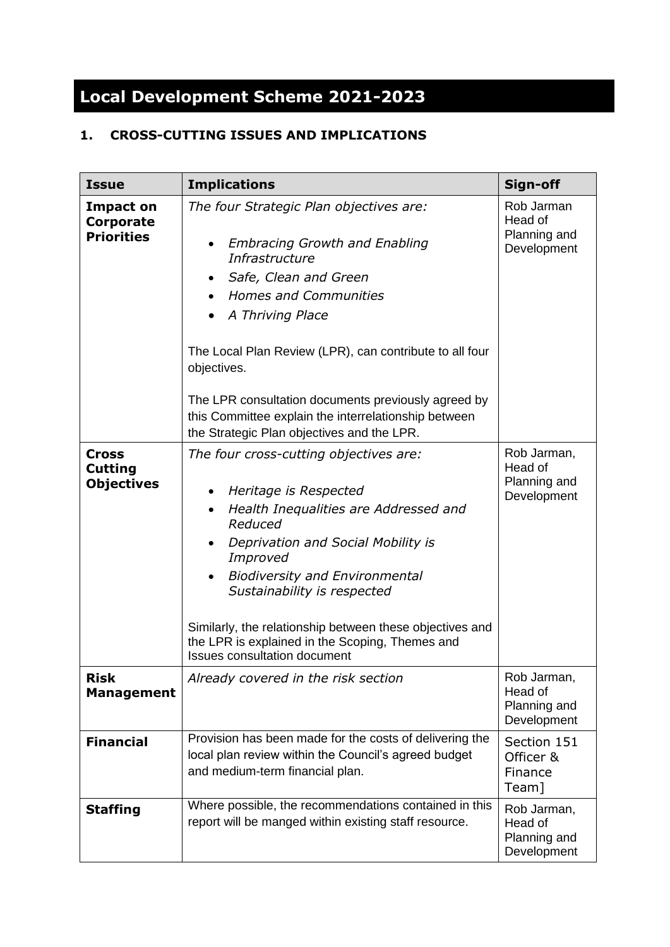# **Local Development Scheme 2021-2023**

### **1. CROSS-CUTTING ISSUES AND IMPLICATIONS**

| <b>Issue</b>                                        | <b>Implications</b>                                                                                                                                                                                                                                                                                                                                                                                                   | Sign-off                                              |
|-----------------------------------------------------|-----------------------------------------------------------------------------------------------------------------------------------------------------------------------------------------------------------------------------------------------------------------------------------------------------------------------------------------------------------------------------------------------------------------------|-------------------------------------------------------|
| <b>Impact on</b><br>Corporate<br><b>Priorities</b>  | The four Strategic Plan objectives are:<br><b>Embracing Growth and Enabling</b><br>Infrastructure<br>Safe, Clean and Green<br><b>Homes and Communities</b><br>A Thriving Place<br>The Local Plan Review (LPR), can contribute to all four<br>objectives.<br>The LPR consultation documents previously agreed by<br>this Committee explain the interrelationship between<br>the Strategic Plan objectives and the LPR. | Rob Jarman<br>Head of<br>Planning and<br>Development  |
| <b>Cross</b><br><b>Cutting</b><br><b>Objectives</b> | The four cross-cutting objectives are:<br>Heritage is Respected<br>Health Inequalities are Addressed and<br>Reduced<br>Deprivation and Social Mobility is<br>Improved<br><b>Biodiversity and Environmental</b><br>Sustainability is respected<br>Similarly, the relationship between these objectives and<br>the LPR is explained in the Scoping, Themes and<br><b>Issues consultation document</b>                   | Rob Jarman,<br>Head of<br>Planning and<br>Development |
| <b>Risk</b><br><b>Management</b>                    | Already covered in the risk section                                                                                                                                                                                                                                                                                                                                                                                   | Rob Jarman,<br>Head of<br>Planning and<br>Development |
| <b>Financial</b>                                    | Provision has been made for the costs of delivering the<br>local plan review within the Council's agreed budget<br>and medium-term financial plan.                                                                                                                                                                                                                                                                    | Section 151<br>Officer &<br>Finance<br>Team]          |
| <b>Staffing</b>                                     | Where possible, the recommendations contained in this<br>report will be manged within existing staff resource.                                                                                                                                                                                                                                                                                                        | Rob Jarman,<br>Head of<br>Planning and<br>Development |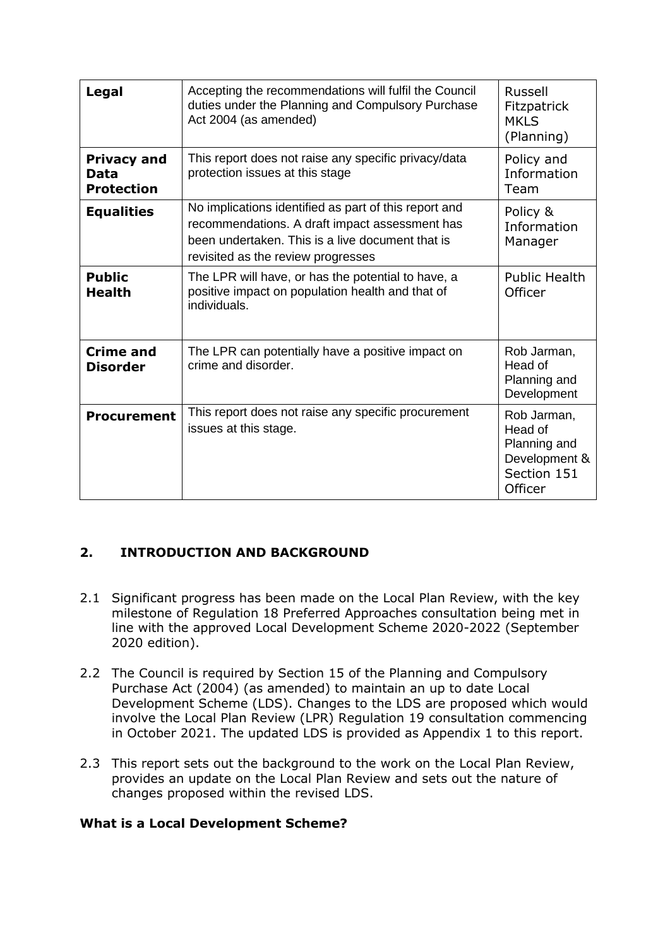| Legal                                           | Accepting the recommendations will fulfil the Council<br>duties under the Planning and Compulsory Purchase<br>Act 2004 (as amended)                                                               | Russell<br>Fitzpatrick<br><b>MKLS</b><br>(Planning)                               |
|-------------------------------------------------|---------------------------------------------------------------------------------------------------------------------------------------------------------------------------------------------------|-----------------------------------------------------------------------------------|
| <b>Privacy and</b><br>Data<br><b>Protection</b> | This report does not raise any specific privacy/data<br>protection issues at this stage                                                                                                           | Policy and<br>Information<br>Team                                                 |
| <b>Equalities</b>                               | No implications identified as part of this report and<br>recommendations. A draft impact assessment has<br>been undertaken. This is a live document that is<br>revisited as the review progresses | Policy &<br>Information<br>Manager                                                |
| <b>Public</b><br><b>Health</b>                  | The LPR will have, or has the potential to have, a<br>positive impact on population health and that of<br>individuals.                                                                            | <b>Public Health</b><br>Officer                                                   |
| <b>Crime and</b><br><b>Disorder</b>             | The LPR can potentially have a positive impact on<br>crime and disorder.                                                                                                                          | Rob Jarman,<br>Head of<br>Planning and<br>Development                             |
| <b>Procurement</b>                              | This report does not raise any specific procurement<br>issues at this stage.                                                                                                                      | Rob Jarman,<br>Head of<br>Planning and<br>Development &<br>Section 151<br>Officer |

## **2. INTRODUCTION AND BACKGROUND**

- 2.1 Significant progress has been made on the Local Plan Review, with the key milestone of Regulation 18 Preferred Approaches consultation being met in line with the approved Local Development Scheme 2020-2022 (September 2020 edition).
- 2.2 The Council is required by Section 15 of the Planning and Compulsory Purchase Act (2004) (as amended) to maintain an up to date Local Development Scheme (LDS). Changes to the LDS are proposed which would involve the Local Plan Review (LPR) Regulation 19 consultation commencing in October 2021. The updated LDS is provided as Appendix 1 to this report.
- 2.3 This report sets out the background to the work on the Local Plan Review, provides an update on the Local Plan Review and sets out the nature of changes proposed within the revised LDS.

#### **What is a Local Development Scheme?**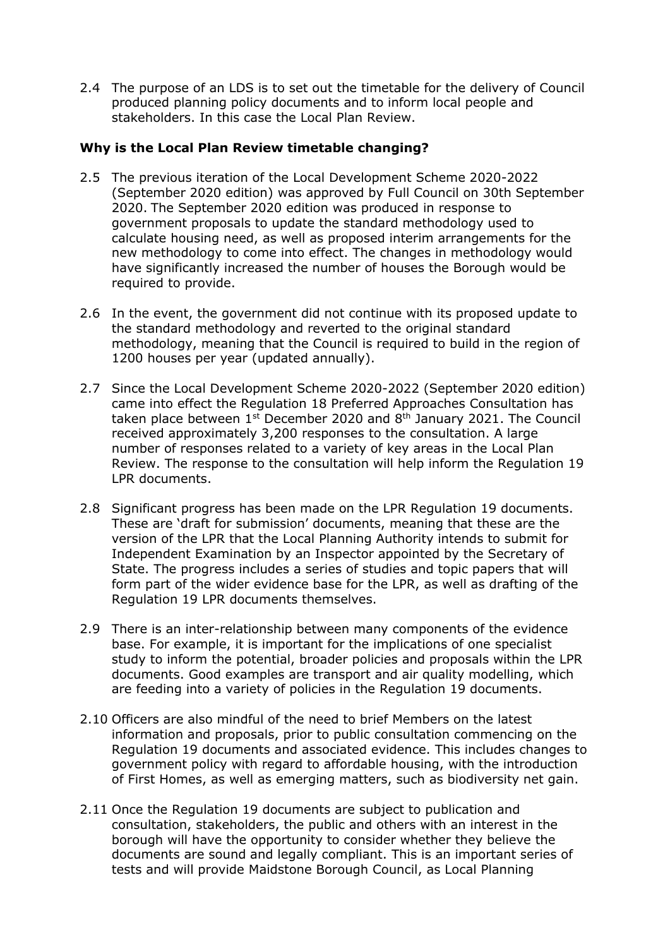2.4 The purpose of an LDS is to set out the timetable for the delivery of Council produced planning policy documents and to inform local people and stakeholders. In this case the Local Plan Review.

#### **Why is the Local Plan Review timetable changing?**

- 2.5 The previous iteration of the Local Development Scheme 2020-2022 (September 2020 edition) was approved by Full Council on 30th September 2020. The September 2020 edition was produced in response to government proposals to update the standard methodology used to calculate housing need, as well as proposed interim arrangements for the new methodology to come into effect. The changes in methodology would have significantly increased the number of houses the Borough would be required to provide.
- 2.6 In the event, the government did not continue with its proposed update to the standard methodology and reverted to the original standard methodology, meaning that the Council is required to build in the region of 1200 houses per year (updated annually).
- 2.7 Since the Local Development Scheme 2020-2022 (September 2020 edition) came into effect the Regulation 18 Preferred Approaches Consultation has taken place between  $1<sup>st</sup>$  December 2020 and  $8<sup>th</sup>$  January 2021. The Council received approximately 3,200 responses to the consultation. A large number of responses related to a variety of key areas in the Local Plan Review. The response to the consultation will help inform the Regulation 19 LPR documents.
- 2.8 Significant progress has been made on the LPR Regulation 19 documents. These are 'draft for submission' documents, meaning that these are the version of the LPR that the Local Planning Authority intends to submit for Independent Examination by an Inspector appointed by the Secretary of State. The progress includes a series of studies and topic papers that will form part of the wider evidence base for the LPR, as well as drafting of the Regulation 19 LPR documents themselves.
- 2.9 There is an inter-relationship between many components of the evidence base. For example, it is important for the implications of one specialist study to inform the potential, broader policies and proposals within the LPR documents. Good examples are transport and air quality modelling, which are feeding into a variety of policies in the Regulation 19 documents.
- 2.10 Officers are also mindful of the need to brief Members on the latest information and proposals, prior to public consultation commencing on the Regulation 19 documents and associated evidence. This includes changes to government policy with regard to affordable housing, with the introduction of First Homes, as well as emerging matters, such as biodiversity net gain.
- 2.11 Once the Regulation 19 documents are subject to publication and consultation, stakeholders, the public and others with an interest in the borough will have the opportunity to consider whether they believe the documents are sound and legally compliant. This is an important series of tests and will provide Maidstone Borough Council, as Local Planning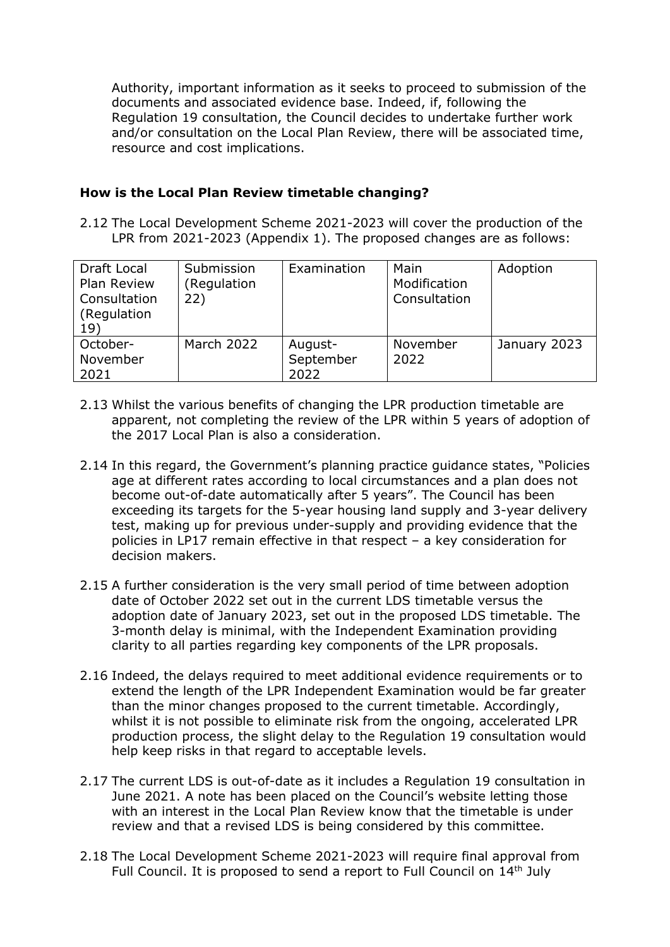Authority, important information as it seeks to proceed to submission of the documents and associated evidence base. Indeed, if, following the Regulation 19 consultation, the Council decides to undertake further work and/or consultation on the Local Plan Review, there will be associated time, resource and cost implications.

#### **How is the Local Plan Review timetable changing?**

2.12 The Local Development Scheme 2021-2023 will cover the production of the LPR from 2021-2023 (Appendix 1). The proposed changes are as follows:

| Draft Local<br>Plan Review<br>Consultation<br>(Regulation<br>19) | Submission<br>(Regulation<br>22) | Examination                  | Main<br>Modification<br>Consultation | Adoption     |
|------------------------------------------------------------------|----------------------------------|------------------------------|--------------------------------------|--------------|
| October-<br>November<br>2021                                     | March 2022                       | August-<br>September<br>2022 | November<br>2022                     | January 2023 |

- 2.13 Whilst the various benefits of changing the LPR production timetable are apparent, not completing the review of the LPR within 5 years of adoption of the 2017 Local Plan is also a consideration.
- 2.14 In this regard, the Government's planning practice guidance states, "Policies age at different rates according to local circumstances and a plan does not become out-of-date automatically after 5 years". The Council has been exceeding its targets for the 5-year housing land supply and 3-year delivery test, making up for previous under-supply and providing evidence that the policies in LP17 remain effective in that respect – a key consideration for decision makers.
- 2.15 A further consideration is the very small period of time between adoption date of October 2022 set out in the current LDS timetable versus the adoption date of January 2023, set out in the proposed LDS timetable. The 3-month delay is minimal, with the Independent Examination providing clarity to all parties regarding key components of the LPR proposals.
- 2.16 Indeed, the delays required to meet additional evidence requirements or to extend the length of the LPR Independent Examination would be far greater than the minor changes proposed to the current timetable. Accordingly, whilst it is not possible to eliminate risk from the ongoing, accelerated LPR production process, the slight delay to the Regulation 19 consultation would help keep risks in that regard to acceptable levels.
- 2.17 The current LDS is out-of-date as it includes a Regulation 19 consultation in June 2021. A note has been placed on the Council's website letting those with an interest in the Local Plan Review know that the timetable is under review and that a revised LDS is being considered by this committee.
- 2.18 The Local Development Scheme 2021-2023 will require final approval from Full Council. It is proposed to send a report to Full Council on 14<sup>th</sup> July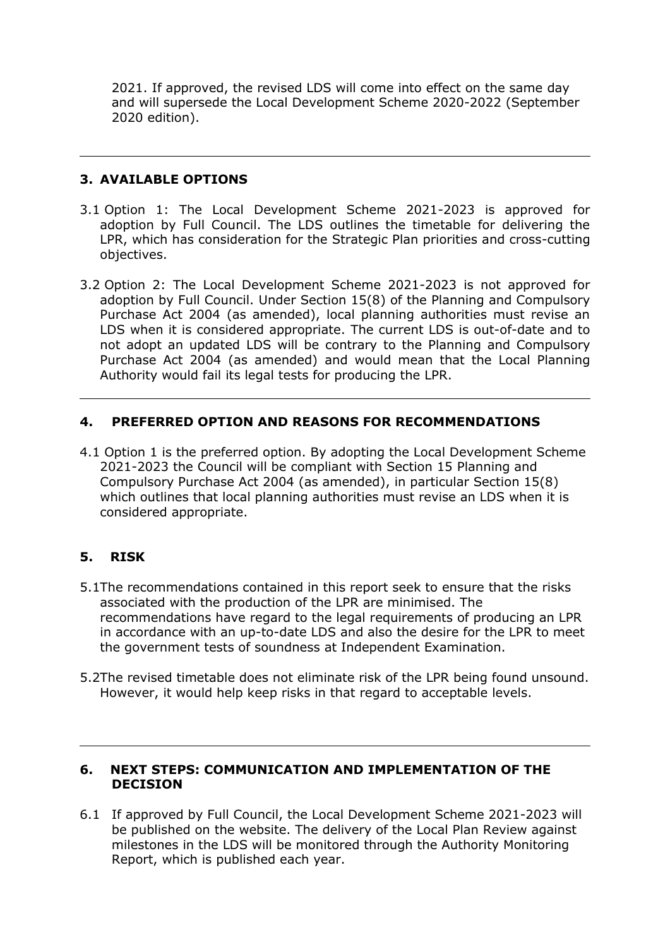2021. If approved, the revised LDS will come into effect on the same day and will supersede the Local Development Scheme 2020-2022 (September 2020 edition).

#### **3. AVAILABLE OPTIONS**

- 3.1 Option 1: The Local Development Scheme 2021-2023 is approved for adoption by Full Council. The LDS outlines the timetable for delivering the LPR, which has consideration for the Strategic Plan priorities and cross-cutting objectives.
- 3.2 Option 2: The Local Development Scheme 2021-2023 is not approved for adoption by Full Council. Under Section 15(8) of the Planning and Compulsory Purchase Act 2004 (as amended), local planning authorities must revise an LDS when it is considered appropriate. The current LDS is out-of-date and to not adopt an updated LDS will be contrary to the Planning and Compulsory Purchase Act 2004 (as amended) and would mean that the Local Planning Authority would fail its legal tests for producing the LPR.

#### **4. PREFERRED OPTION AND REASONS FOR RECOMMENDATIONS**

4.1 Option 1 is the preferred option. By adopting the Local Development Scheme 2021-2023 the Council will be compliant with Section 15 Planning and Compulsory Purchase Act 2004 (as amended), in particular Section 15(8) which outlines that local planning authorities must revise an LDS when it is considered appropriate.

#### **5. RISK**

- 5.1The recommendations contained in this report seek to ensure that the risks associated with the production of the LPR are minimised. The recommendations have regard to the legal requirements of producing an LPR in accordance with an up-to-date LDS and also the desire for the LPR to meet the government tests of soundness at Independent Examination.
- 5.2The revised timetable does not eliminate risk of the LPR being found unsound. However, it would help keep risks in that regard to acceptable levels.

#### **6. NEXT STEPS: COMMUNICATION AND IMPLEMENTATION OF THE DECISION**

6.1 If approved by Full Council, the Local Development Scheme 2021-2023 will be published on the website. The delivery of the Local Plan Review against milestones in the LDS will be monitored through the Authority Monitoring Report, which is published each year.